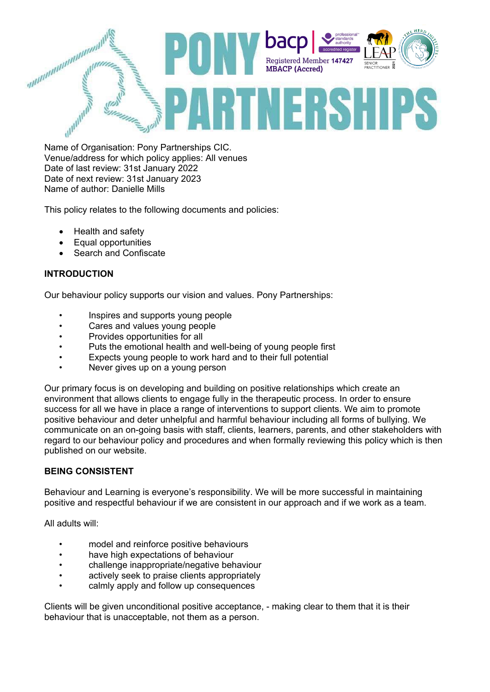

Name of Organisation: Pony Partnerships CIC. Venue/address for which policy applies: All venues Date of last review: 31st January 2022 Date of next review: 31st January 2023 Name of author: Danielle Mills

This policy relates to the following documents and policies:

- Health and safety
- Equal opportunities
- Search and Confiscate

# **INTRODUCTION**

Our behaviour policy supports our vision and values. Pony Partnerships:

- Inspires and supports young people
- Cares and values young people
- Provides opportunities for all
- Puts the emotional health and well-being of young people first
- Expects young people to work hard and to their full potential
- Never gives up on a young person

Our primary focus is on developing and building on positive relationships which create an environment that allows clients to engage fully in the therapeutic process. In order to ensure success for all we have in place a range of interventions to support clients. We aim to promote positive behaviour and deter unhelpful and harmful behaviour including all forms of bullying. We communicate on an on-going basis with staff, clients, learners, parents, and other stakeholders with regard to our behaviour policy and procedures and when formally reviewing this policy which is then published on our website.

## **BEING CONSISTENT**

Behaviour and Learning is everyone's responsibility. We will be more successful in maintaining positive and respectful behaviour if we are consistent in our approach and if we work as a team.

All adults will:

- model and reinforce positive behaviours
- have high expectations of behaviour
- challenge inappropriate/negative behaviour
- actively seek to praise clients appropriately
- calmly apply and follow up consequences

Clients will be given unconditional positive acceptance, - making clear to them that it is their behaviour that is unacceptable, not them as a person.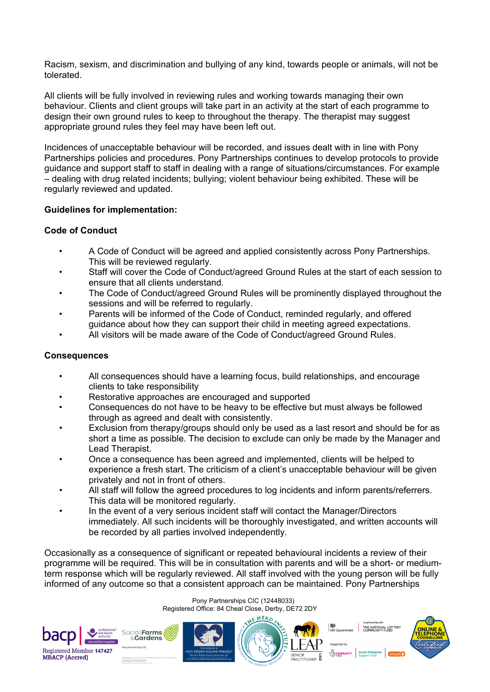Racism, sexism, and discrimination and bullying of any kind, towards people or animals, will not be tolerated.

All clients will be fully involved in reviewing rules and working towards managing their own behaviour. Clients and client groups will take part in an activity at the start of each programme to design their own ground rules to keep to throughout the therapy. The therapist may suggest appropriate ground rules they feel may have been left out.

Incidences of unacceptable behaviour will be recorded, and issues dealt with in line with Pony Partnerships policies and procedures. Pony Partnerships continues to develop protocols to provide guidance and support staff to staff in dealing with a range of situations/circumstances. For example – dealing with drug related incidents; bullying; violent behaviour being exhibited. These will be regularly reviewed and updated.

# **Guidelines for implementation:**

# **Code of Conduct**

- A Code of Conduct will be agreed and applied consistently across Pony Partnerships. This will be reviewed regularly.
- Staff will cover the Code of Conduct/agreed Ground Rules at the start of each session to ensure that all clients understand.
- The Code of Conduct/agreed Ground Rules will be prominently displayed throughout the sessions and will be referred to regularly.
- Parents will be informed of the Code of Conduct, reminded regularly, and offered guidance about how they can support their child in meeting agreed expectations.
- All visitors will be made aware of the Code of Conduct/agreed Ground Rules.

## **Consequences**

- All consequences should have a learning focus, build relationships, and encourage clients to take responsibility
- Restorative approaches are encouraged and supported
- Consequences do not have to be heavy to be effective but must always be followed through as agreed and dealt with consistently.
- Exclusion from therapy/groups should only be used as a last resort and should be for as short a time as possible. The decision to exclude can only be made by the Manager and Lead Therapist.
- Once a consequence has been agreed and implemented, clients will be helped to experience a fresh start. The criticism of a client's unacceptable behaviour will be given privately and not in front of others.
- All staff will follow the agreed procedures to log incidents and inform parents/referrers. This data will be monitored regularly.
- In the event of a very serious incident staff will contact the Manager/Directors immediately. All such incidents will be thoroughly investigated, and written accounts will be recorded by all parties involved independently.

Occasionally as a consequence of significant or repeated behavioural incidents a review of their programme will be required. This will be in consultation with parents and will be a short- or mediumterm response which will be regularly reviewed. All staff involved with the young person will be fully informed of any outcome so that a consistent approach can be maintained. Pony Partnerships

> Pony Partnerships CIC (12448033) Registered Office: 84 Cheal Close, Derby, DE72 2DY